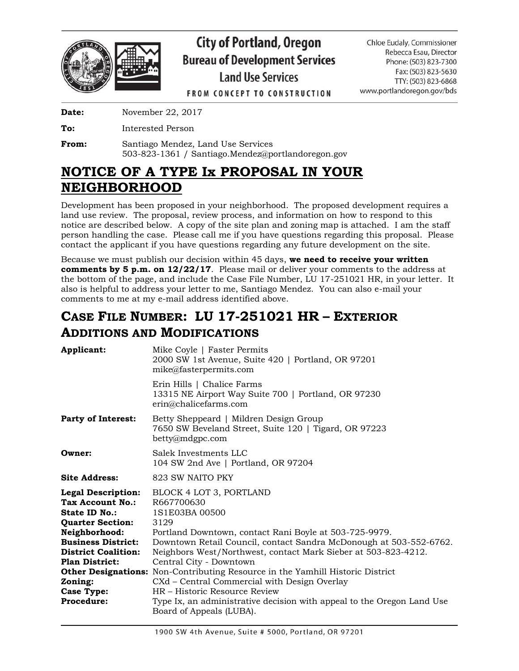

# **City of Portland, Oregon Bureau of Development Services Land Use Services**

Chloe Eudaly, Commissioner Rebecca Esau, Director Phone: (503) 823-7300 Fax: (503) 823-5630 TTY: (503) 823-6868 www.portlandoregon.gov/bds

**FROM CONCEPT TO CONSTRUCTION** 

**Date:** November 22, 2017

**To:** Interested Person

**From:** Santiago Mendez, Land Use Services 503-823-1361 / Santiago.Mendez@portlandoregon.gov

## **NOTICE OF A TYPE Ix PROPOSAL IN YOUR NEIGHBORHOOD**

Development has been proposed in your neighborhood. The proposed development requires a land use review. The proposal, review process, and information on how to respond to this notice are described below. A copy of the site plan and zoning map is attached. I am the staff person handling the case. Please call me if you have questions regarding this proposal. Please contact the applicant if you have questions regarding any future development on the site.

Because we must publish our decision within 45 days, **we need to receive your written comments by 5 p.m. on 12/22/17**. Please mail or deliver your comments to the address at the bottom of the page, and include the Case File Number, LU 17-251021 HR, in your letter. It also is helpful to address your letter to me, Santiago Mendez. You can also e-mail your comments to me at my e-mail address identified above.

### **CASE FILE NUMBER: LU 17-251021 HR – EXTERIOR ADDITIONS AND MODIFICATIONS**

| Mike Coyle   Faster Permits<br>2000 SW 1st Avenue, Suite 420   Portland, OR 97201<br>mike@fasterpermits.com                                                                                                                                                                                                                                                                                                                                                                                                                                                                  |
|------------------------------------------------------------------------------------------------------------------------------------------------------------------------------------------------------------------------------------------------------------------------------------------------------------------------------------------------------------------------------------------------------------------------------------------------------------------------------------------------------------------------------------------------------------------------------|
| Erin Hills   Chalice Farms<br>13315 NE Airport Way Suite 700   Portland, OR 97230<br>erin@chalicefarms.com                                                                                                                                                                                                                                                                                                                                                                                                                                                                   |
| Betty Sheppeard   Mildren Design Group<br>7650 SW Beveland Street, Suite 120   Tigard, OR 97223<br>betty@mdgpc.com                                                                                                                                                                                                                                                                                                                                                                                                                                                           |
| Salek Investments LLC<br>104 SW 2nd Ave   Portland, OR 97204                                                                                                                                                                                                                                                                                                                                                                                                                                                                                                                 |
| 823 SW NAITO PKY                                                                                                                                                                                                                                                                                                                                                                                                                                                                                                                                                             |
| BLOCK 4 LOT 3, PORTLAND<br>R667700630<br>1S1E03BA 00500<br>3129<br>Portland Downtown, contact Rani Boyle at 503-725-9979.<br>Downtown Retail Council, contact Sandra McDonough at 503-552-6762.<br>Neighbors West/Northwest, contact Mark Sieber at 503-823-4212.<br>Central City - Downtown<br><b>Other Designations:</b> Non-Contributing Resource in the Yamhill Historic District<br>CXd – Central Commercial with Design Overlay<br>HR – Historic Resource Review<br>Type Ix, an administrative decision with appeal to the Oregon Land Use<br>Board of Appeals (LUBA). |
|                                                                                                                                                                                                                                                                                                                                                                                                                                                                                                                                                                              |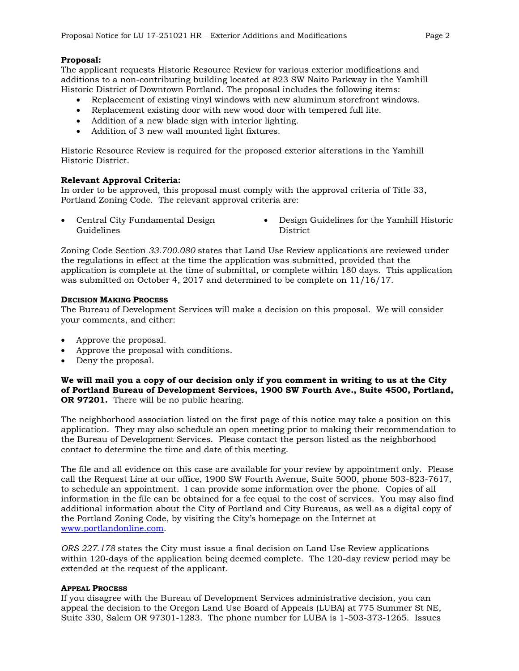#### **Proposal:**

The applicant requests Historic Resource Review for various exterior modifications and additions to a non-contributing building located at 823 SW Naito Parkway in the Yamhill Historic District of Downtown Portland. The proposal includes the following items:

- Replacement of existing vinyl windows with new aluminum storefront windows.
- Replacement existing door with new wood door with tempered full lite.
- Addition of a new blade sign with interior lighting.
- Addition of 3 new wall mounted light fixtures.

Historic Resource Review is required for the proposed exterior alterations in the Yamhill Historic District.

#### **Relevant Approval Criteria:**

In order to be approved, this proposal must comply with the approval criteria of Title 33, Portland Zoning Code. The relevant approval criteria are:

- Guidelines
- Central City Fundamental Design Design Guidelines for the Yamhill Historic **District**

Zoning Code Section *33.700.080* states that Land Use Review applications are reviewed under the regulations in effect at the time the application was submitted, provided that the application is complete at the time of submittal, or complete within 180 days. This application was submitted on October 4, 2017 and determined to be complete on 11/16/17.

#### **DECISION MAKING PROCESS**

The Bureau of Development Services will make a decision on this proposal. We will consider your comments, and either:

- Approve the proposal.
- Approve the proposal with conditions.
- Deny the proposal.

**We will mail you a copy of our decision only if you comment in writing to us at the City of Portland Bureau of Development Services, 1900 SW Fourth Ave., Suite 4500, Portland, OR 97201.** There will be no public hearing.

The neighborhood association listed on the first page of this notice may take a position on this application. They may also schedule an open meeting prior to making their recommendation to the Bureau of Development Services. Please contact the person listed as the neighborhood contact to determine the time and date of this meeting.

The file and all evidence on this case are available for your review by appointment only. Please call the Request Line at our office, 1900 SW Fourth Avenue, Suite 5000, phone 503-823-7617, to schedule an appointment. I can provide some information over the phone. Copies of all information in the file can be obtained for a fee equal to the cost of services. You may also find additional information about the City of Portland and City Bureaus, as well as a digital copy of the Portland Zoning Code, by visiting the City's homepage on the Internet at [www.portlandonline.com.](http://www.portlandonline.com/)

*ORS 227.178* states the City must issue a final decision on Land Use Review applications within 120-days of the application being deemed complete. The 120-day review period may be extended at the request of the applicant.

#### **APPEAL PROCESS**

If you disagree with the Bureau of Development Services administrative decision, you can appeal the decision to the Oregon Land Use Board of Appeals (LUBA) at 775 Summer St NE, Suite 330, Salem OR 97301-1283. The phone number for LUBA is 1-503-373-1265. Issues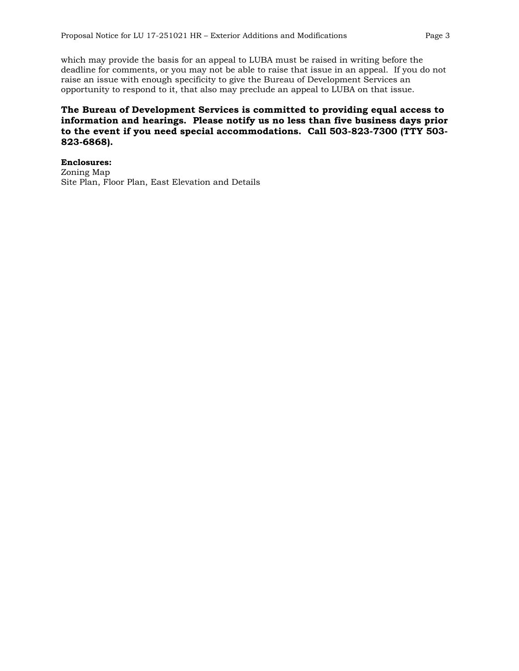which may provide the basis for an appeal to LUBA must be raised in writing before the deadline for comments, or you may not be able to raise that issue in an appeal. If you do not raise an issue with enough specificity to give the Bureau of Development Services an opportunity to respond to it, that also may preclude an appeal to LUBA on that issue.

### **The Bureau of Development Services is committed to providing equal access to information and hearings. Please notify us no less than five business days prior to the event if you need special accommodations. Call 503-823-7300 (TTY 503- 823-6868).**

**Enclosures:** Zoning Map Site Plan, Floor Plan, East Elevation and Details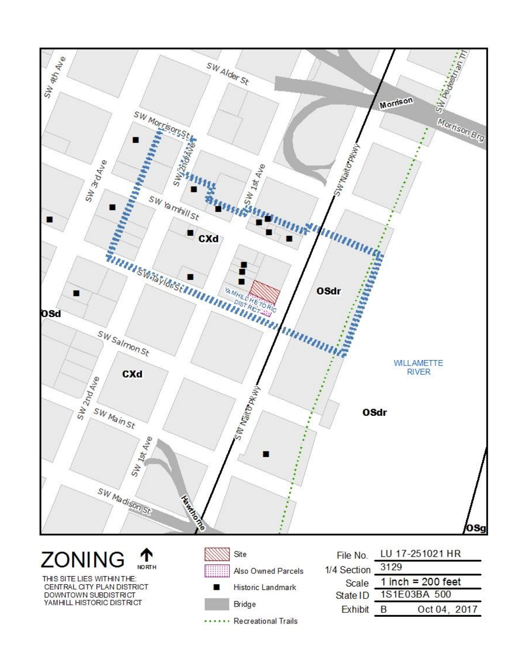

Bridge

..... Recreational Trails

**Exhibit** 

B

Oct 04, 2017